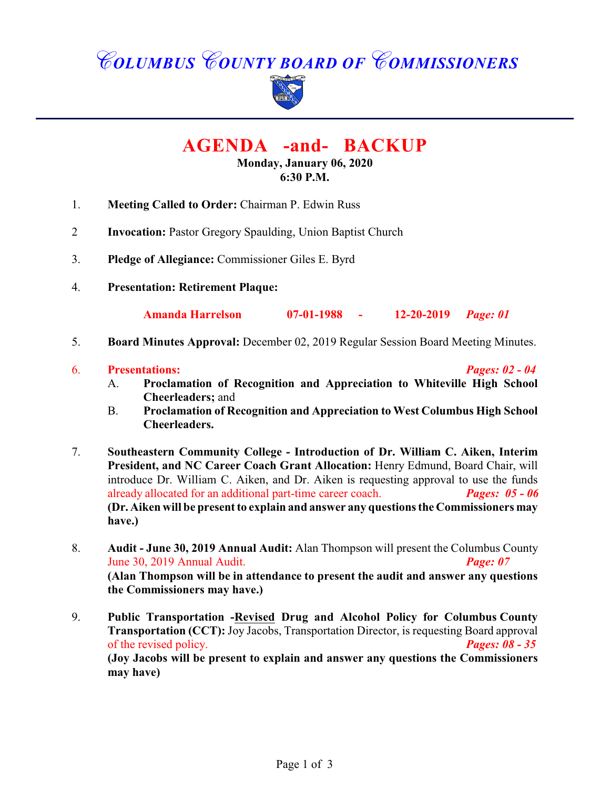# *COLUMBUS COUNTY BOARD OF COMMISSIONERS*



# **AGENDA -and- BACKUP**

**Monday, January 06, 2020 6:30 P.M.**

- 1. **Meeting Called to Order:** Chairman P. Edwin Russ
- 2 **Invocation:** Pastor Gregory Spaulding, Union Baptist Church
- 3. **Pledge of Allegiance:** Commissioner Giles E. Byrd
- 4. **Presentation: Retirement Plaque:**

**Amanda Harrelson 07-01-1988 - 12-20-2019** *Page: 01*

- 5. **Board Minutes Approval:** December 02, 2019 Regular Session Board Meeting Minutes.
- 6. **Presentations:** *Pages: 02 04*
	-
	- A. **Proclamation of Recognition and Appreciation to Whiteville High School Cheerleaders;** and
	- B. **Proclamation of Recognition and Appreciation to West Columbus High School Cheerleaders.**
- 7. **Southeastern Community College Introduction of Dr. William C. Aiken, Interim President, and NC Career Coach Grant Allocation:** Henry Edmund, Board Chair, will introduce Dr. William C. Aiken, and Dr. Aiken is requesting approval to use the funds already allocated for an additional part-time career coach. *Pages: 05 - 06* **(Dr. Aiken will be present to explain and answer any questions the Commissioners may have.)**
- 8. **Audit June 30, 2019 Annual Audit:** Alan Thompson will present the Columbus County June 30, 2019 Annual Audit. *Page: 07* **(Alan Thompson will be in attendance to present the audit and answer any questions the Commissioners may have.)**
- 9. **Public Transportation -Revised Drug and Alcohol Policy for Columbus County Transportation (CCT):** Joy Jacobs, Transportation Director, is requesting Board approval of the revised policy. *Pages: 08 - 35* **(Joy Jacobs will be present to explain and answer any questions the Commissioners may have)**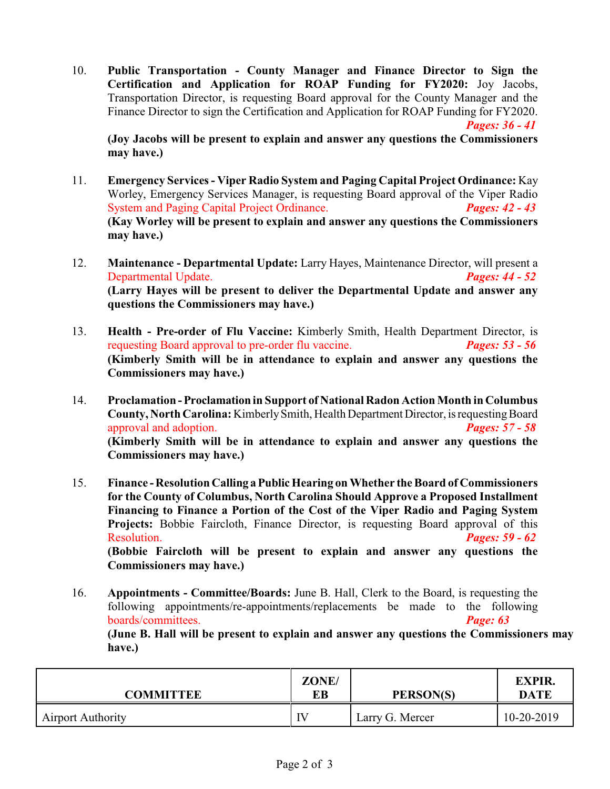10. **Public Transportation - County Manager and Finance Director to Sign the Certification and Application for ROAP Funding for FY2020:** Joy Jacobs, Transportation Director, is requesting Board approval for the County Manager and the Finance Director to sign the Certification and Application for ROAP Funding for FY2020. *Pages: 36 - 41*

**(Joy Jacobs will be present to explain and answer any questions the Commissioners may have.)**

- 11. **Emergency Services Viper Radio System and Paging Capital Project Ordinance:** Kay Worley, Emergency Services Manager, is requesting Board approval of the Viper Radio System and Paging Capital Project Ordinance. System and Paging Capital Project Ordinance. **(Kay Worley will be present to explain and answer any questions the Commissioners may have.)**
- 12. **Maintenance Departmental Update:** Larry Hayes, Maintenance Director, will present a Departmental Update. *Pages: 44 - 52* **(Larry Hayes will be present to deliver the Departmental Update and answer any questions the Commissioners may have.)**
- 13. **Health Pre-order of Flu Vaccine:** Kimberly Smith, Health Department Director, is requesting Board approval to pre-order flu vaccine. *Pages: 53 - 56* **(Kimberly Smith will be in attendance to explain and answer any questions the Commissioners may have.)**
- 14. **Proclamation Proclamation in Support of National Radon Action Month in Columbus County, North Carolina:** Kimberly Smith, Health Department Director, is requesting Board approval and adoption. *Pages: 57 - 58* **(Kimberly Smith will be in attendance to explain and answer any questions the Commissioners may have.)**
- 15. **Finance Resolution Calling a Public Hearing on Whether the Board of Commissioners for the County of Columbus, North Carolina Should Approve a Proposed Installment Financing to Finance a Portion of the Cost of the Viper Radio and Paging System Projects:** Bobbie Faircloth, Finance Director, is requesting Board approval of this Resolution. *Pages: 59 - 62* **(Bobbie Faircloth will be present to explain and answer any questions the Commissioners may have.)**
- 16. **Appointments Committee/Boards:** June B. Hall, Clerk to the Board, is requesting the following appointments/re-appointments/replacements be made to the following boards/committees. *Page: 63*

**(June B. Hall will be present to explain and answer any questions the Commissioners may have.)**

| <b>COMMITTEE</b>         | ZONE/<br>EВ | PERSON(S)       | <b>EXPIR.</b><br><b>DATE</b> |
|--------------------------|-------------|-----------------|------------------------------|
| <b>Airport Authority</b> | IV          | Larry G. Mercer | 10-20-2019                   |